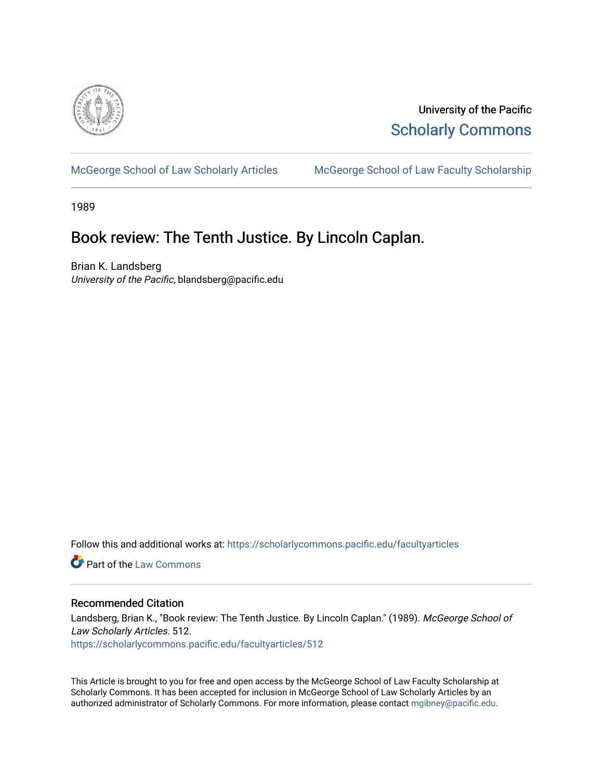

University of the Pacific [Scholarly Commons](https://scholarlycommons.pacific.edu/) 

[McGeorge School of Law Scholarly Articles](https://scholarlycommons.pacific.edu/facultyarticles) [McGeorge School of Law Faculty Scholarship](https://scholarlycommons.pacific.edu/facultyscholarship) 

1989

# Book review: The Tenth Justice. By Lincoln Caplan.

Brian K. Landsberg University of the Pacific, blandsberg@pacific.edu

Follow this and additional works at: [https://scholarlycommons.pacific.edu/facultyarticles](https://scholarlycommons.pacific.edu/facultyarticles?utm_source=scholarlycommons.pacific.edu%2Ffacultyarticles%2F512&utm_medium=PDF&utm_campaign=PDFCoverPages)

**C** Part of the [Law Commons](http://network.bepress.com/hgg/discipline/578?utm_source=scholarlycommons.pacific.edu%2Ffacultyarticles%2F512&utm_medium=PDF&utm_campaign=PDFCoverPages)

## Recommended Citation

Landsberg, Brian K., "Book review: The Tenth Justice. By Lincoln Caplan." (1989). McGeorge School of Law Scholarly Articles. 512.

[https://scholarlycommons.pacific.edu/facultyarticles/512](https://scholarlycommons.pacific.edu/facultyarticles/512?utm_source=scholarlycommons.pacific.edu%2Ffacultyarticles%2F512&utm_medium=PDF&utm_campaign=PDFCoverPages)

This Article is brought to you for free and open access by the McGeorge School of Law Faculty Scholarship at Scholarly Commons. It has been accepted for inclusion in McGeorge School of Law Scholarly Articles by an authorized administrator of Scholarly Commons. For more information, please contact [mgibney@pacific.edu.](mailto:mgibney@pacific.edu)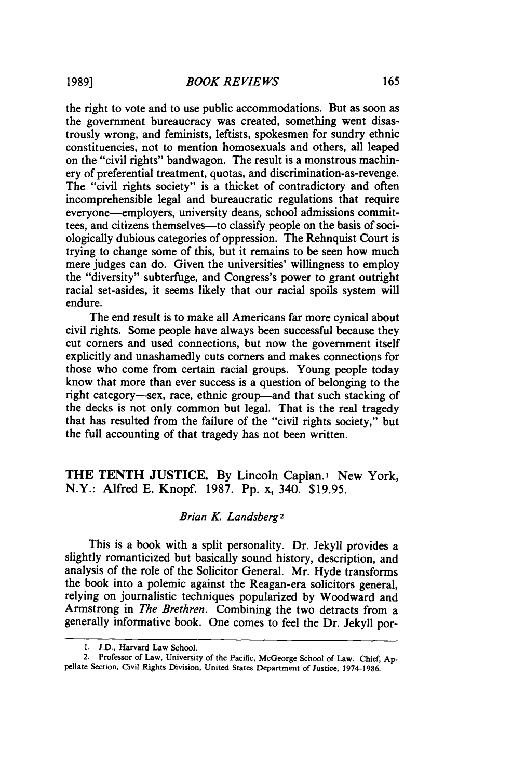the right to vote and to use public accommodations. But as soon as the government bureaucracy was created, something went disastrously wrong, and feminists, leftists, spokesmen for sundry ethnic constituencies, not to mention homosexuals and others, all leaped on the "civil rights" bandwagon. The result is a monstrous machinery of preferential treatment, quotas, and discrimination-as-revenge. The "civil rights society" is a thicket of contradictory and often incomprehensible legal and bureaucratic regulations that require everyone-employers, university deans, school admissions committees, and citizens themselves-to classify people on the basis of sociologically dubious categories of oppression. The Rehnquist Court is trying to change some of this, but it remains to be seen how much mere judges can do. Given the universities' willingness to employ the "diversity" subterfuge, and Congress's power to grant outright racial set-asides, it seems likely that our racial spoils system will endure.

The end result is to make all Americans far more cynical about civil rights. Some people have always been successful because they cut corners and used connections, but now the government itself explicitly and unashamedly cuts corners and makes connections for those who come from certain racial groups. Young people today know that more than ever success is a question of belonging to the right category-sex, race, ethnic group--and that such stacking of the decks is not only common but legal. That is the real tragedy that has resulted from the failure of the "civil rights society," but the full accounting of that tragedy has not been written.

**THE TENTH JUSTICE.** By Lincoln Caplan.1 New York, N.Y.: Alfred E. Knopf. 1987. Pp. x, 340. \$19.95.

### *Brian K. Landsberg2*

This is a book with a split personality. Dr. Jekyll provides a slightly romanticized but basically sound history, description, and analysis of the role of the Solicitor General. Mr. Hyde transforms the book into a polemic against the Reagan-era solicitors general, relying on journalistic techniques popularized by Woodward and Armstrong in *The Brethren.* Combining the two detracts from a generally informative book. One comes to feel the Dr. Jekyll por-

I. J.D., Harvard Law School.

<sup>2.</sup> Professor of Law, University of the Pacific, McGeorge School of Law. Chief, Appellate Section, Civil Rights Division, United States Department of Justice, 1974-1986.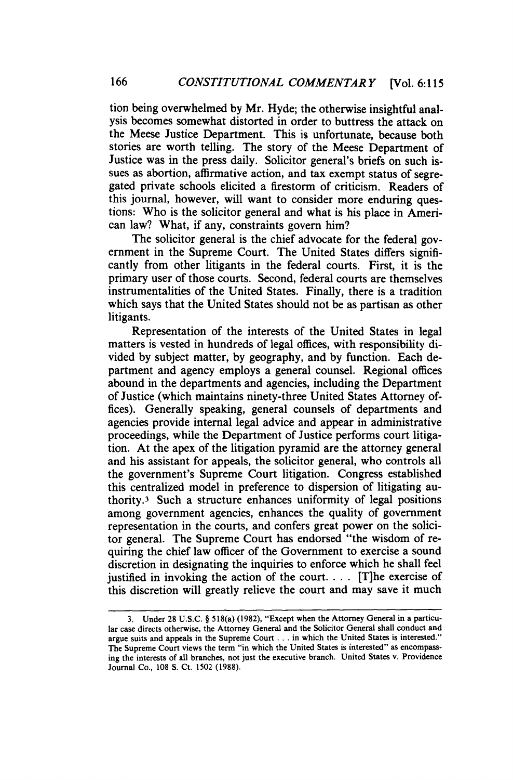tion being overwhelmed by Mr. Hyde; the otherwise insightful analysis becomes somewhat distorted in order to buttress the attack on the Meese Justice Department. This is unfortunate, because both stories are worth telling. The story of the Meese Department of Justice was in the press daily. Solicitor general's briefs on such issues as abortion, affirmative action, and tax exempt status of segregated private schools elicited a firestorm of criticism. Readers of this journal, however, will want to consider more enduring questions: Who is the solicitor general and what is his place in American law? What, if any, constraints govern him?

The solicitor general is the chief advocate for the federal government in the Supreme Court. The United States differs significantly from other litigants in the federal courts. First, it is the primary user of those courts. Second, federal courts are themselves instrumentalities of the United States. Finally, there is a tradition which says that the United States should not be as partisan as other litigants.

Representation of the interests of the United States in legal matters is vested in hundreds of legal offices, with responsibility divided by subject matter, by geography, and by function. Each department and agency employs a general counsel. Regional offices abound in the departments and agencies, including the Department of Justice (which maintains ninety-three United States Attorney offices). Generally speaking, general counsels of departments and agencies provide internal legal advice and appear in administrative proceedings, while the Department of Justice performs court litigation. At the apex of the litigation pyramid are the attorney general and his assistant for appeals, the solicitor general, who controls all the government's Supreme Court litigation. Congress established this centralized model in preference to dispersion of litigating authority.<sup>3</sup> Such a structure enhances uniformity of legal positions among government agencies, enhances the quality of government representation in the courts, and confers great power on the solicitor general. The Supreme Court has endorsed "the wisdom of requiring the chief law officer of the Government to exercise a sound discretion in designating the inquiries to enforce which he shall feel justified in invoking the action of the court.  $\ldots$  [T]he exercise of this discretion will greatly relieve the court and may save it much

<sup>3.</sup> Under 28 U.S.C. § 518(a) (1982), "Except when the Attorney General in a particular case directs otherwise, the Attorney General and the Solicitor General shall conduct and argue suits and appeals in the Supreme Court ... in which the United States is interested." The Supreme Court views the term "in which the United States is interested" as encompassing the interests of all branches, not just the executive branch. United States v. Providence Journal Co., 108 S. Ct. 1502 (1988).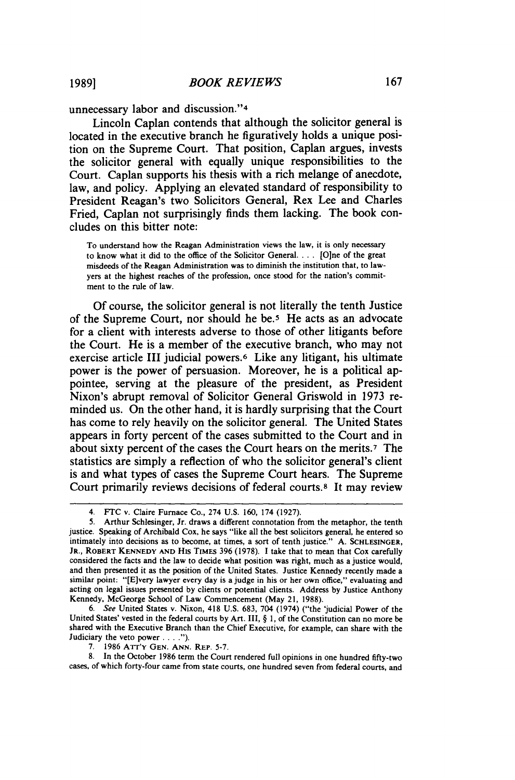unnecessary labor and discussion."4

Lincoln Caplan contends that although the solicitor general is located in the executive branch he figuratively holds a unique position on the Supreme Court. That position, Caplan argues, invests the solicitor general with equally unique responsibilities to the Court. Caplan supports his thesis with a rich melange of anecdote, law, and policy. Applying an elevated standard of responsibility to President Reagan's two Solicitors General, Rex Lee and Charles Fried, Caplan not surprisingly finds them lacking. The book concludes on this bitter note:

To understand how the Reagan Administration views the law, it is only necessary to know what it did to the office of the Solicitor General. . . . [O]ne of the great misdeeds of the Reagan Administration was to diminish the institution that, to lawyers at the highest reaches of the profession, once stood for the nation's commitment to the rule of law.

Of course, the solicitor general is not literally the tenth Justice of the Supreme Court, nor should he *be.s* He acts as an advocate for a client with interests adverse to those of other litigants before the Court. He is a member of the executive branch, who may not exercise article III judicial powers.6 Like any litigant, his ultimate power is the power of persuasion. Moreover, he is a political appointee, serving at the pleasure of the president, as President Nixon's abrupt removal of Solicitor General Griswold in 1973 reminded us. On the other hand, it is hardly surprising that the Court has come to rely heavily on the solicitor general. The United States appears in forty percent of the cases submitted to the Court and in about sixty percent of the cases the Court hears on the merits. *1* The statistics are simply a reflection of who the solicitor general's client is and what types of cases the Supreme Court hears. The Supreme Court primarily reviews decisions of federal courts.<sup>8</sup> It may review

6. *See* United States v. Nixon, 418 U.S. 683, 704 (1974) ("the 'judicial Power of the United States' vested in the federal courts by Art. III, § I, of the Constitution can no more be shared with the Executive Branch than the Chief Executive, for example, can share with the Judiciary the veto power .... ").

8. In the October 1986 term the Court rendered full opinions in one hundred fifty-two cases, of which forty-four came from state courts, one hundred seven from federal courts, and

<sup>4.</sup> FfC v. Claire Furnace Co., 274 U.S. 160, 174 (1927).

<sup>5.</sup> Arthur Schlesinger, Jr. draws a different connotation from the metaphor, the tenth justice. Speaking of Archibald Cox, he says "like all the best solicitors general, he entered so intimately into decisions as to become, at times, a sort of tenth justice." A. SCHLESINGER, JR., ROBERT KENNEDY AND HIS TIMES 396 (1978). I take that to mean that Cox carefully considered the facts and the law to decide what position was right, much as a justice would, and then presented it as the position of the United States. Justice Kennedy recently made a similar point: "[E]very lawyer every day is a judge in his or her own office," evaluating and acting on legal issues presented by clients or potential clients. Address by Justice Anthony Kennedy, McGeorge School of Law Commencement (May 21, 1988).

<sup>7. 1986</sup> ATT'Y GEN. ANN. REP. 5-7.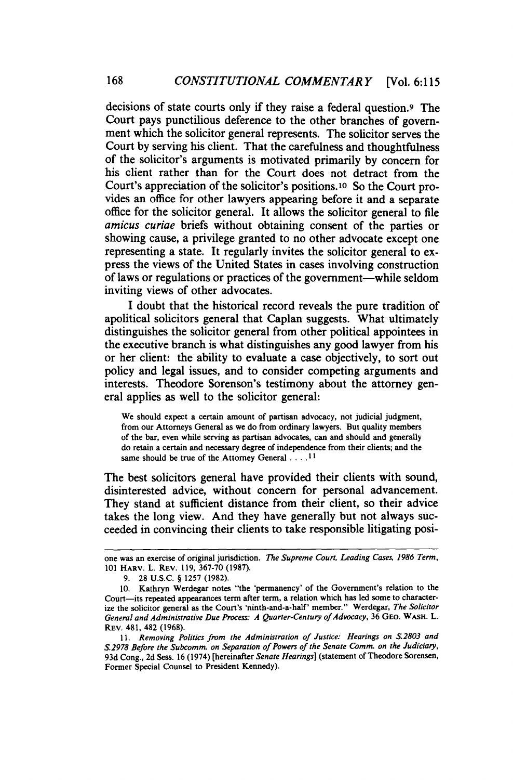decisions of state courts only if they raise a federal question.9 The Court pays punctilious deference to the other branches of government which the solicitor general represents. The solicitor serves the Court by serving his client. That the carefulness and thoughtfulness of the solicitor's arguments is motivated primarily by concern for his client rather than for the Court does not detract from the Court's appreciation of the solicitor's positions.1o So the Court provides an office for other lawyers appearing before it and a separate office for the solicitor general. It allows the solicitor general to file *amicus curiae* briefs without obtaining consent of the parties or showing cause, a privilege granted to no other advocate except one representing a state. It regularly invites the solicitor general to express the views of the United States in cases involving construction of laws or regulations or practices of the government-while seldom inviting views of other advocates.

I doubt that the historical record reveals the pure tradition of apolitical solicitors general that Caplan suggests. What ultimately distinguishes the solicitor general from other political appointees in the executive branch is what distinguishes any good lawyer from his or her client: the ability to evaluate a case objectively, to sort out policy and legal issues, and to consider competing arguments and interests. Theodore Sorenson's testimony about the attorney general applies as well to the solicitor general:

We should expect a certain amount of partisan advocacy, not judicial judgment, from our Attorneys General as we do from ordinary lawyers. But quality members of the bar, even while serving as partisan advocates, can and should and generally do retain a certain and necessary degree of independence from their clients; and the same should be true of the Attorney General . . . . <sup>11</sup>

The best solicitors general have provided their clients with sound, disinterested advice, without concern for personal advancement. They stand at sufficient distance from their client, so their advice takes the long view. And they have generally but not always succeeded in convincing their clients to take responsible litigating posi-

one was an exercise of original jurisdiction. *The Supreme Court, Leading Cases, 1986 Term,*  101 HARV. L. REv. 119, 367-70 (1987).

<sup>9. 28</sup> u.s.c. § 1257 (1982).

<sup>10.</sup> Kathryn Werdegar notes "the 'permanency' of the Government's relation to the Court-its repeated appearances term after term, a relation which has led some to characterize the solicitor general as the Court's 'ninth-and-a-half' member." Werdegar, *The Solicitor General and Administrative Due Process: A Quarter-Century of Advocacy,* 36 GEo. WASH. L. REv. 481, 482 (1968).

<sup>11.</sup> *Removing Politics from the Administration of Justice: Hearings on S.2803 and S.2978 Before the Subcomm. on Separation of Powers of the Senate Comm. on the Judiciary,*  93d Cong., 2d Sess. 16 (1974) [hereinafter *Senate Hearings]* (statement of Theodore Sorensen, Former Special Counsel to President Kennedy).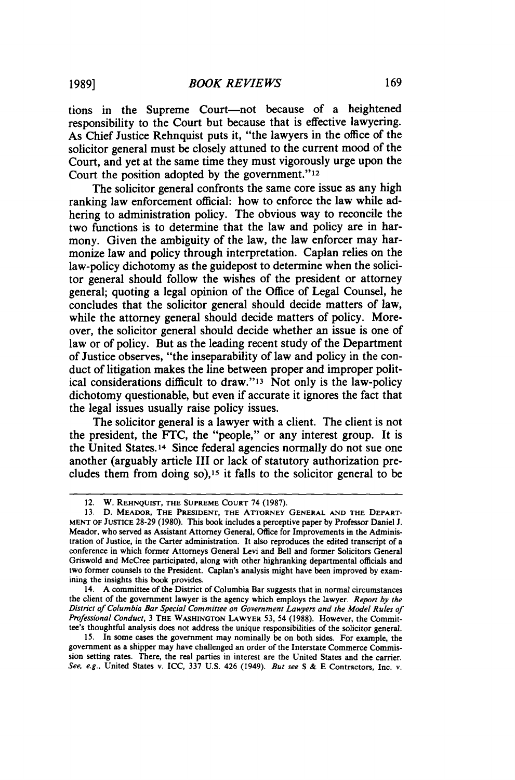tions in the Supreme Court-not because of a heightened responsibility to the Court but because that is effective lawyering. As Chief Justice Rehnquist puts it, "the lawyers in the office of the solicitor general must be closely attuned to the current mood of the Court, and yet at the same time they must vigorously urge upon the Court the position adopted by the government."<sup>12</sup>

The solicitor general confronts the same core issue as any high ranking law enforcement official: how to enforce the law while adhering to administration policy. The obvious way to reconcile the two functions is to determine that the law and policy are in harmony. Given the ambiguity of the law, the law enforcer may harmonize law and policy through interpretation. Caplan relies on the law-policy dichotomy as the guidepost to determine when the solicitor general should follow the wishes of the president or attorney general; quoting a legal opinion of the Office of Legal Counsel, he concludes that the solicitor general should decide matters of law, while the attorney general should decide matters of policy. Moreover, the solicitor general should decide whether an issue is one of law or of policy. But as the leading recent study of the Department of Justice observes, "the inseparability of law and policy in the conduct of litigation makes the line between proper and improper political considerations difficult to draw."I3 Not only is the law-policy dichotomy questionable, but even if accurate it ignores the fact that the legal issues usually raise policy issues.

The solicitor general is a lawyer with a client. The client is not the president, the FTC, the "people," or any interest group. It is the United States.I4 Since federal agencies normally do not sue one another (arguably article III or lack of statutory authorization precludes them from doing so),<sup>15</sup> it falls to the solicitor general to be

14. A committee of the District of Columbia Bar suggests that in normal circumstances the client of the government lawyer is the agency which employs the lawyer. *Report by the District of Columbia Bar Special Committee on Government Lawyers and the Model Rules of Professional Conduct,* 3 THE WASHINGTON LAWYER 53, 54 (1988). However, the Committee's thoughtful analysis does not address the unique responsibilities of the solicitor general.

15. In some cases the government may nominally be on both sides. For example, the government as a shipper may have challenged an order of the Interstate Commerce Commission setting rates. There, the real parties in interest are the United States and the carrier. *See, e.g.,* United States v. ICC, 337 U.S. 426 (1949). *But see* S & E Contractors, Inc. v.

<sup>12.</sup> W. REHNQUIST, THE SUPREME CoURT 74 (1987).

<sup>13.</sup> D. MEADOR, THE PRESIDENT, THE ATTORNEY GENERAL AND THE DEPART-MENT OF JUSTICE 28-29 (1980). This book includes a perceptive paper by Professor Daniel J. Meador, who served as Assistant Attorney General, Office for Improvements in the Administration of Justice, in the Carter administration. It also reproduces the edited transcript of a conference in which former Attorneys General Levi and Bell and former Solicitors General Griswold and McCree participated, along with other highranking departmental officials and two former counsels to the President. Caplan's analysis might have been improved by examining the insights this book provides.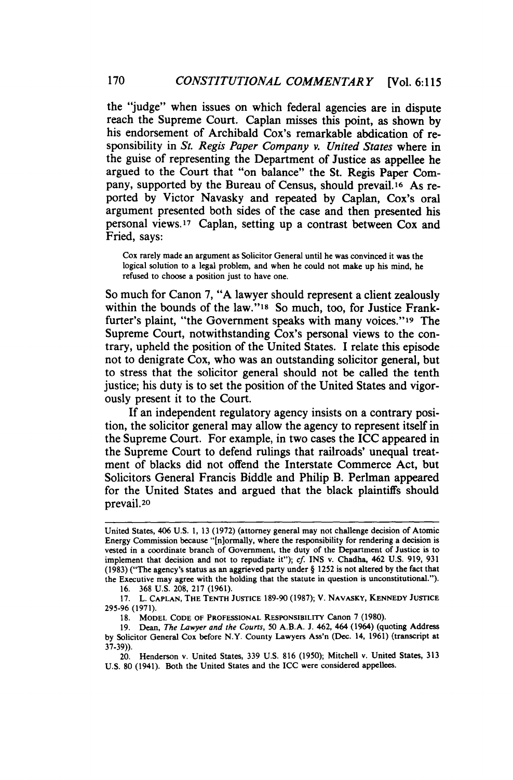the "judge" when issues on which federal agencies are in dispute reach the Supreme Court. Caplan misses this point, as shown by his endorsement of Archibald Cox's remarkable abdication of responsibility in *St. Regis Paper Company v. United States* where in the guise of representing the Department of Justice as appellee he argued to the Court that "on balance" the St. Regis Paper Company, supported by the Bureau of Census, should prevail.<sup>16</sup> As reported by Victor Navasky and repeated by Caplan, Cox's oral argument presented both sides of the case and then presented his personal views.<sup>17</sup> Caplan, setting up a contrast between Cox and Fried, says:

Cox rarely made an argument as Solicitor General until he was convinced it was the logical solution to a legal problem, and when he could not make up his mind, he refused to choose a position just to have one.

So much for Canon 7, "A lawyer should represent a client zealously within the bounds of the law."1s So much, too, for Justice Frankfurter's plaint, "the Government speaks with many voices."<sup>19</sup> The Supreme Court, notwithstanding Cox's personal views to the contrary, upheld the position of the United States. I relate this episode not to denigrate Cox, who was an outstanding solicitor general, but to stress that the solicitor general should not be called the tenth justice; his duty is to set the position of the United States and vigorously present it to the Court.

If an independent regulatory agency insists on a contrary position, the solicitor general may allow the agency to represent itself in the Supreme Court. For example, in two cases the ICC appeared in the Supreme Court to defend rulings that railroads' unequal treatment of blacks did not offend the Interstate Commerce Act, but Solicitors General Francis Biddle and Philip B. Perlman appeared for the United States and argued that the black plaintiffs should prevail.<sup>20</sup>

16. 368 u.s. 208, 217 (1961).

17. L. CAPLAN, THE TENTH JUSTICE 189-90 (1987); V. NAVASKY, KENNEDY JUSTICE 295-96 (1971).

18. MODEL CODE OF PROFESSIONAL RESPONSIBILITY Canon 7 (1980).

19. Dean, *The Lawyer and the Courts,* 50 A.B.A. J. 462, 464 (1964) (quoting Address by Solicitor General Cox before N.Y. County Lawyers Ass'n (Dec. 14, 1961) (transcript at 37-39)).

20. Henderson v. United States, 339 U.S. 816 (1950); Mitchell v. United States, 313 U.S. 80 (1941). Both the United States and the ICC were considered appellees.

United States, 406 U.S. I, 13 (1972) (attorney general may not challenge decision of Atomic Energy Commission because "[n]ormally, where the responsibility for rendering a decision is vested in a coordinate branch of Government, the duty of the Department of Justice is to implement that decision and not to repudiate it"); *cf* INS v. Chadha, 462 U.S. 919, 931 (1983) ("The agency's status as an aggrieved party under§ 1252 is not altered by the fact that the Executive may agree with the holding that the statute in question is unconstitutional.").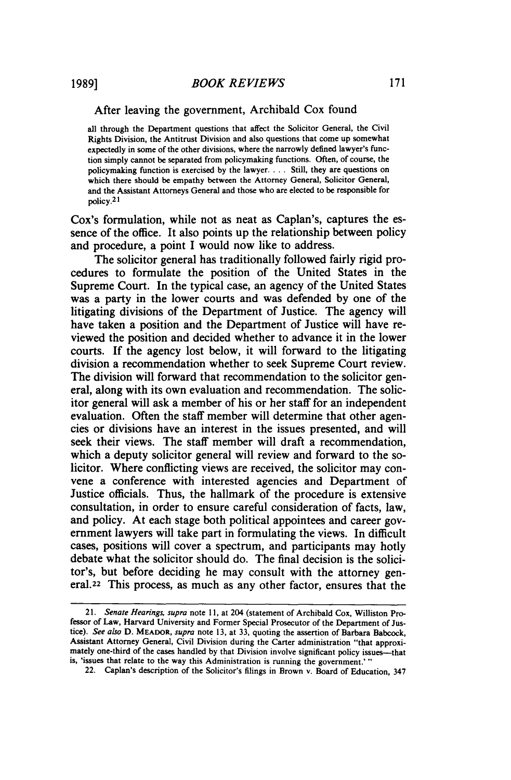#### After leaving the government, Archibald Cox found

all through the Department questions that affect the Solicitor General, the Civil Rights Division, the Antitrust Division and also questions that come up somewhat expectedly in some of the other divisions, where the narrowly defined lawyer's function simply cannot be separated from policymaking functions. Often, of course, the policymaking function is exercised by the lawyer. . . . Still, they are questions on which there should be empathy between the Attorney General, Solicitor General, and the Assistant Attorneys General and those who are elected to be responsible for policy.2I

Cox's formulation, while not as neat as Caplan's, captures the essence of the office. It also points up the relationship between policy and procedure, a point I would now like to address.

The solicitor general has traditionally followed fairly rigid procedures to formulate the position of the United States in the Supreme Court. In the typical case, an agency of the United States was a party in the lower courts and was defended by one of the litigating divisions of the Department of Justice. The agency will have taken a position and the Department of Justice will have reviewed the position and decided whether to advance it in the lower courts. If the agency lost below, it will forward to the litigating division a recommendation whether to seek Supreme Court review. The division will forward that recommendation to the solicitor general, along with its own evaluation and recommendation. The solicitor general will ask a member of his or her staff for an independent evaluation. Often the staff member will determine that other agencies or divisions have an interest in the issues presented, and will seek their views. The staff member will draft a recommendation, which a deputy solicitor general will review and forward to the solicitor. Where conflicting views are received, the solicitor may convene a conference with interested agencies and Department of Justice officials. Thus, the hallmark of the procedure is extensive consultation, in order to ensure careful consideration of facts, law, and policy. At each stage both political appointees and career government lawyers will take part in formulating the views. In difficult cases, positions will cover a spectrum, and participants may hotly debate what the solicitor should do. The final decision is the solicitor's, but before deciding he may consult with the attorney general.22 This process, as much as any other factor, ensures that the

<sup>21.</sup> *Senate Hearings. supra* note II, at 204 (statement of Archibald Cox, Williston Professor of Law, Harvard University and Former Special Prosecutor of the Department of Justice). *See also* D. MEADOR, *supra* note 13, at 33, quoting the assertion of Barbara Babcock, Assistant Attorney General, Civil Division during the Carter administration "that approximately one-third of the cases handled by that Division involve significant policy issues-that is, 'issues that relate to the way this Administration is running the government.' "

<sup>22.</sup> Caplan's description of the Solicitor's filings in Brown v. Board of Education, 347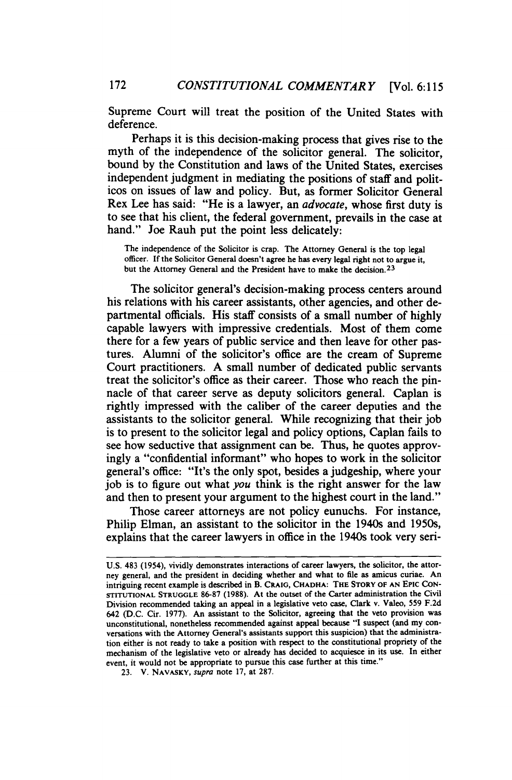Supreme Court will treat the position of the United States with deference.

Perhaps it is this decision-making process that gives rise to the myth of the independence of the solicitor general. The solicitor, bound by the Constitution and laws of the United States, exercises independent judgment in mediating the positions of staff and politicos on issues of law and policy. But, as former Solicitor General Rex Lee has said: "He is a lawyer, an *advocate,* whose first duty is to see that his client, the federal government, prevails in the case at hand." Joe Rauh put the point less delicately:

The independence of the Solicitor is crap. The Attorney General is the top legal officer. If the Solicitor General doesn't agree he has every legal right not to argue it, but the Attorney General and the President have to make the decision.23

The solicitor general's decision-making process centers around his relations with his career assistants, other agencies, and other departmental officials. His staff consists of a small number of highly capable lawyers with impressive credentials. Most of them come there for a few years of public service and then leave for other pastures. Alumni of the solicitor's office are the cream of Supreme Court practitioners. A small number of dedicated public servants treat the solicitor's office as their career. Those who reach the pinnacle of that career serve as deputy solicitors general. Caplan is rightly impressed with the caliber of the career deputies and the assistants to the solicitor general. While recognizing that their job is to present to the solicitor legal and policy options, Caplan fails to see how seductive that assignment can be. Thus, he quotes approvingly a "confidential informant" who hopes to work in the solicitor general's office: "It's the only spot, besides a judgeship, where your job is to figure out what you think is the right answer for the law and then to present your argument to the highest court in the land."

Those career attorneys are not policy eunuchs. For instance, Philip Elman, an assistant to the solicitor in the 1940s and 1950s, explains that the career lawyers in office in the 1940s took very seri-

U.S. 483 (1954), vividly demonstrates interactions of career lawyers, the solicitor, the attorney general, and the president in deciding whether and what to file as amicus curiae. An intriguing recent example is described in B. CRAIG, CHADHA: THE STORY OF AN EPIC CoN-STITUTIONAL STRUGGLE 86-87 (1988). At the outset of the Carter administration the Civil Division recommended taking an appeal in a legislative veto case, Clark v. Valeo, 559 F.2d 642 (D.C. Cir. 1977). An assistant to the Solicitor, agreeing that the veto provision was unconstitutional, nonetheless recommended against appeal because "I suspect (and my conversations with the Attorney General's assistants support this suspicion) that the administration either is not ready to take a position with respect to the constitutional propriety of the mechanism of the legislative veto or already has decided to acquiesce in its use. In either event, it would not be appropriate to pursue this case further at this time."

<sup>23.</sup> V. NAVASKY, supra note 17, at 287.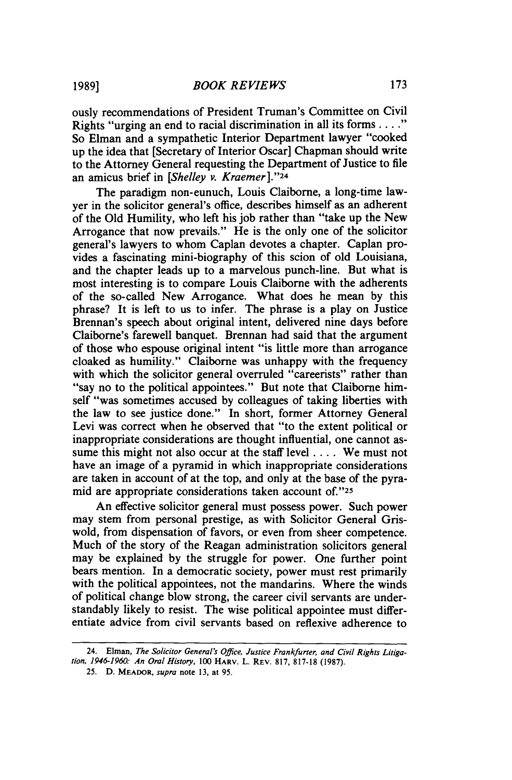ously recommendations of President Truman's Committee on Civil Rights "urging an end to racial discrimination in all its forms .... " So Elman and a sympathetic Interior Department lawyer "cooked up the idea that [Secretary of Interior Oscar] Chapman should write to the Attorney General requesting the Department of Justice to file an amicus brief in *[Shelley v. Kraemer* ]."24

The paradigm non-eunuch, Louis Claiborne, a long-time lawyer in the solicitor general's office, describes himself as an adherent of the Old Humility, who left his job rather than "take up the New Arrogance that now prevails." He is the only one of the solicitor general's lawyers to whom Caplan devotes a chapter. Caplan provides a fascinating mini-biography of this scion of old Louisiana, and the chapter leads up to a marvelous punch-line. But what is most interesting is to compare Louis Claiborne with the adherents of the so-called New Arrogance. What does he mean by this phrase? It is left to us to infer. The phrase is a play on Justice Brennan's speech about original intent, delivered nine days before Claiborne's farewell banquet. Brennan had said that the argument of those who espouse original intent "is little more than arrogance cloaked as humility." Claiborne was unhappy with the frequency with which the solicitor general overruled "careerists" rather than "say no to the political appointees." But note that Claiborne himself "was sometimes accused by colleagues of taking liberties with the law to see justice done." In short, former Attorney General Levi was correct when he observed that "to the extent political or inappropriate considerations are thought influential, one cannot assume this might not also occur at the staff level .... We must not have an image of a pyramid in which inappropriate considerations are taken in account of at the top, and only at the base of the pyramid are appropriate considerations taken account of."25

An effective solicitor general must possess power. Such power may stem from personal prestige, as with Solicitor General Griswold, from dispensation of favors, or even from sheer competence. Much of the story of the Reagan administration solicitors general may be explained by the struggle for power. One further point bears mention. In a democratic society, power must rest primarily with the political appointees, not the mandarins. Where the winds of political change blow strong, the career civil servants are understandably likely to resist. The wise political appointee must differentiate advice from civil servants based on reflexive adherence to

<sup>24.</sup> Elman, *The Solicitor General's Office, Justice Frankfuner, and Civil Rights Litigation, 1946-1960: An Oral History,* 100 HARV. L. REV. 817, 817-18 (1987).

<sup>25.</sup> D. MEADOR, *supra* note 13, at 95.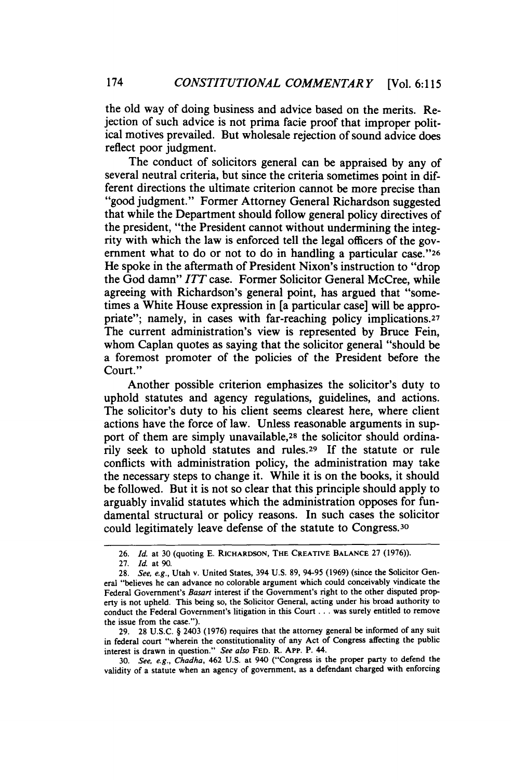the old way of doing business and advice based on the merits. Rejection of such advice is not prima facie proof that improper political motives prevailed. But wholesale rejection of sound advice does reflect poor judgment.

The conduct of solicitors general can be appraised by any of several neutral criteria, but since the criteria sometimes point in different directions the ultimate criterion cannot be more precise than "good judgment." Former Attorney General Richardson suggested that while the Department should follow general policy directives of the president, "the President cannot without undermining the integrity with which the law is enforced tell the legal officers of the government what to do or not to do in handling a particular case."26 He spoke in the aftermath of President Nixon's instruction to "drop the God damn" *ITT* case. Former Solicitor General McCree, while agreeing with Richardson's general point, has argued that "sometimes a White House expression in [a particular case] will be appropriate"; namely, in cases with far-reaching policy implications.<sup>27</sup> The current administration's view is represented by Bruce Fein, whom Caplan quotes as saying that the solicitor general "should be a foremost promoter of the policies of the President before the Court."

Another possible criterion emphasizes the solicitor's duty to uphold statutes and agency regulations, guidelines, and actions. The solicitor's duty to his client seems clearest here, where client actions have the force of law. Unless reasonable arguments in support of them are simply unavailable,<sup>28</sup> the solicitor should ordinarily seek to uphold statutes and rules.29 If the statute or rule conflicts with administration policy, the administration may take the necessary steps to change it. While it is on the books, it should be followed. But it is not so clear that this principle should apply to arguably invalid statutes which the administration opposes for fundamental structural or policy reasons. In such cases the solicitor could legitimately leave defense of the statute to Congress.Jo

29. 28 U.S.C. § 2403 (1976) requires that the attorney general be informed of any suit in federal court "wherein the constitutionality of any Act of Congress affecting the public interest is drawn in question." *See also* FED. R. APP. P. 44.

30. *See, e.g., Chadha,* 462 U.S. at 940 ("Congress is the proper party to defend the validity of a statute when an agency of government, as a defendant charged with enforcing

<sup>26.</sup> *Id.* at 30 (quoting E. RICHARDSON, THE CREATIVE BALANCE 27 (1976)).

<sup>27.</sup> */d.* at 90.

<sup>28.</sup> *See, e.g.,* Utah v. United States, 394 U.S. 89, 94-95 (1969) (since the Solicitor General "believes he can advance no colorable argument which could conceivably vindicate the Federal Government's *Basart* interest if the Government's right to the other disputed property is not upheld. This being so, the Solicitor General, acting under his broad authority to conduct the Federal Government's litigation in this Court ... was surely entitled to remove the issue from the case.").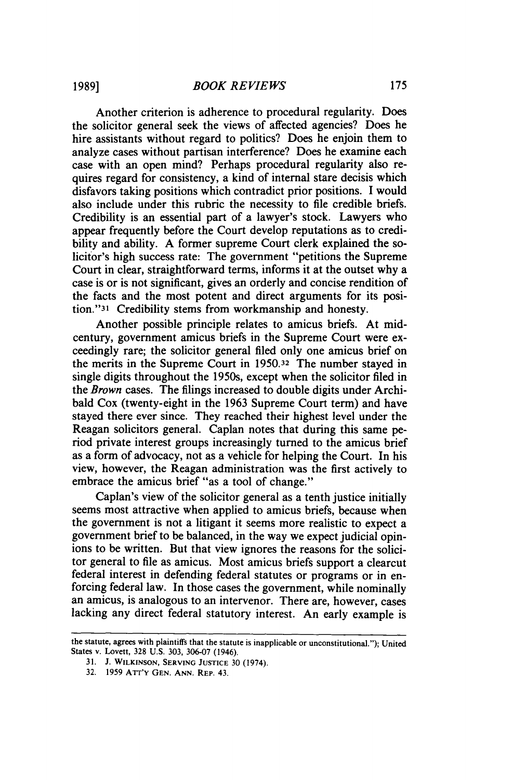Another criterion is adherence to procedural regularity. Does the solicitor general seek the views of affected agencies? Does he hire assistants without regard to politics? Does he enjoin them to analyze cases without partisan interference? Does he examine each case with an open mind? Perhaps procedural regularity also requires regard for consistency, a kind of internal stare decisis which disfavors taking positions which contradict prior positions. I would also include under this rubric the necessity to file credible briefs. Credibility is an essential part of a lawyer's stock. Lawyers who appear frequently before the Court develop reputations as to credibility and ability. A former supreme Court clerk explained the solicitor's high success rate: The government "petitions the Supreme Court in clear, straightforward terms, informs it at the outset why a case is or is not significant, gives an orderly and concise rendition of the facts and the most potent and direct arguments for its position."31 Credibility stems from workmanship and honesty.

Another possible principle relates to amicus briefs. At midcentury, government amicus briefs in the Supreme Court were exceedingly rare; the solicitor general filed only one amicus brief on the merits in the Supreme Court in 1950.32 The number stayed in single digits throughout the 1950s, except when the solicitor filed in the *Brown* cases. The filings increased to double digits under Archibald Cox (twenty-eight in the 1963 Supreme Court term) and have stayed there ever since. They reached their highest level under the Reagan solicitors general. Caplan notes that during this same period private interest groups increasingly turned to the amicus brief as a form of advocacy, not as a vehicle for helping the Court. In his view, however, the Reagan administration was the first actively to embrace the amicus brief "as a tool of change."

Caplan's view of the solicitor general as a tenth justice initially seems most attractive when applied to amicus briefs, because when the government is not a litigant it seems more realistic to expect a government brief to be balanced, in the way we expect judicial opinions to be written. But that view ignores the reasons for the solicitor general to file as amicus. Most amicus briefs support a clearcut federal interest in defending federal statutes or programs or in enforcing federal law. In those cases the government, while nominally an amicus, is analogous to an intervenor. There are, however, cases lacking any direct federal statutory interest. An early example is

the statute, agrees with plaintiffs that the statute is inapplicable or unconstitutional."); United States v. Lovett, 328 U.S. 303, 306-07 (1946).

<sup>31.</sup> J. WILKINSON, SERVING JUSTICE 30 (1974).

<sup>32. 1959</sup> AIT'Y GEN. ANN. REP. 43.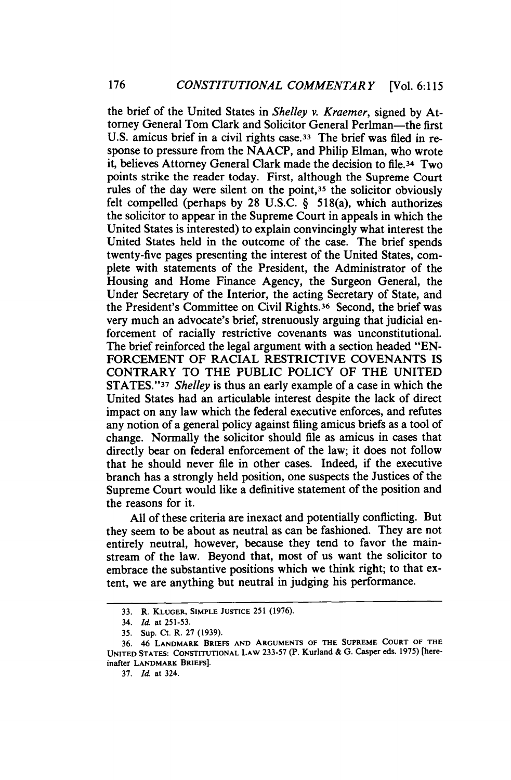the brief of the United States in *Shelley v. Kraemer,* signed by Attorney General Tom Clark and Solicitor General Perlman-the first U.S. amicus brief in a civil rights case.33 The brief was filed in response to pressure from the NAACP, and Philip Elman, who wrote it, believes Attorney General Clark made the decision to file.34 Two points strike the reader today. First, although the Supreme Court rules of the day were silent on the point,<sup>35</sup> the solicitor obviously felt compelled (perhaps by 28 U.S.C. § 518(a), which authorizes the solicitor to appear in the Supreme Court in appeals in which the United States is interested) to explain convincingly what interest the United States held in the outcome of the case. The brief spends twenty-five pages presenting the interest of the United States, complete with statements of the President, the Administrator of the Housing and Home Finance Agency, the Surgeon General, the Under Secretary of the Interior, the acting Secretary of State, and the President's Committee on Civil Rights.36 Second, the brief was very much an advocate's brief, strenuously arguing that judicial enforcement of racially restrictive covenants was unconstitutional. The brief reinforced the legal argument with a section headed "EN-FORCEMENT OF RACIAL RESTRICTIVE COVENANTS IS CONTRARY TO THE PUBLIC POLICY OF THE UNITED STATES. "37 *Shelley* is thus an early example of a case in which the United States had an articulable interest despite the lack of direct impact on any law which the federal executive enforces, and refutes any notion of a general policy against filing amicus briefs as a tool of change. Normally the solicitor should file as amicus in cases that directly bear on federal enforcement of the law; it does not follow that he should never file in other cases. Indeed, if the executive branch has a strongly held position, one suspects the Justices of the Supreme Court would like a definitive statement of the position and the reasons for it.

All of these criteria are inexact and potentially conflicting. But they seem to be about as neutral as can be fashioned. They are not entirely neutral, however, because they tend to favor the mainstream of the law. Beyond that, most of us want the solicitor to embrace the substantive positions which we think right; to that extent, we are anything but neutral in judging his performance.

<sup>33.</sup> R. KLUGER, SIMPLE JUSTICE 251 (1976).

<sup>34.</sup> *Id.* at 251-53.

<sup>35.</sup> Sup. Ct. R. 27 (1939).

<sup>36. 46</sup> LANDMARK BRIEFS AND ARGUMENTS OF THE SUPREME COURT OF THE UNITED STATES: CoNSTITUTIONAL LAW 233-57 (P. Kurland & G. Casper eds. 1975) [hereinafter LANDMARK BRIEFS).

<sup>37.</sup> *Id.* at 324.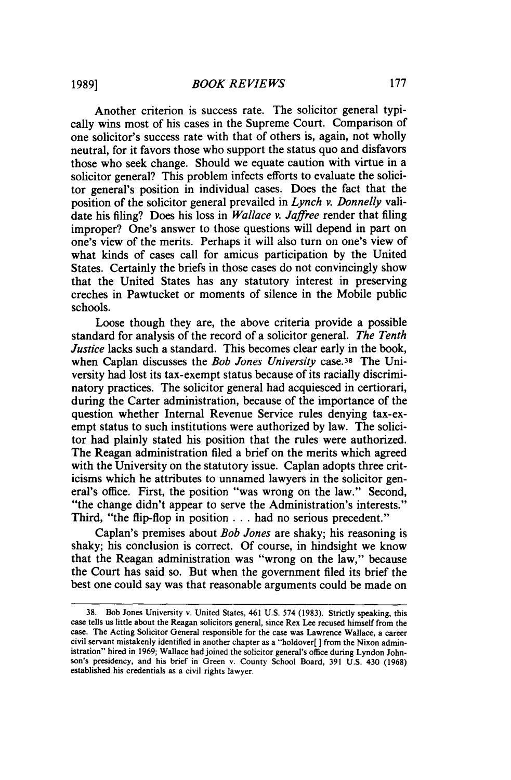Another criterion is success rate. The solicitor general typically wins most of his cases in the Supreme Court. Comparison of one solicitor's success rate with that of others is, again, not wholly neutral, for it favors those who support the status quo and disfavors those who seek change. Should we equate caution with virtue in a solicitor general? This problem infects efforts to evaluate the solicitor general's position in individual cases. Does the fact that the position of the solicitor general prevailed in *Lynch v. Donnelly* validate his filing? Does his loss in *Wallace v. Jaffree* render that filing improper? One's answer to those questions will depend in part on one's view of the merits. Perhaps it will also tum on one's view of what kinds of cases call for amicus participation by the United States. Certainly the briefs in those cases do not convincingly show that the United States has any statutory interest in preserving creches in Pawtucket or moments of silence in the Mobile public schools.

Loose though they are, the above criteria provide a possible standard for analysis of the record of a solicitor general. *The Tenth Justice* lacks such a standard. This becomes clear early in the book, when Caplan discusses the *Bob Jones University* case.<sup>38</sup> The University had lost its tax-exempt status because of its racially discriminatory practices. The solicitor general had acquiesced in certiorari, during the Carter administration, because of the importance of the question whether Internal Revenue Service rules denying tax-exempt status to such institutions were authorized by law. The solicitor had plainly stated his position that the rules were authorized. The Reagan administration filed a brief on the merits which agreed with the University on the statutory issue. Caplan adopts three criticisms which he attributes to unnamed lawyers in the solicitor general's office. First, the position "was wrong on the law." Second, "the change didn't appear to serve the Administration's interests." Third, "the flip-flop in position ... had no serious precedent."

Caplan's premises about *Bob Jones* are shaky; his reasoning is shaky; his conclusion is correct. Of course, in hindsight we know that the Reagan administration was "wrong on the law," because the Court has said so. But when the government filed its brief the best one could say was that reasonable arguments could be made on

<sup>38.</sup> Bob Jones University v. United States, 461 U.S. 574 (1983). Strictly speaking, this case tells us little about the Reagan solicitors general, since Rex Lee recused himself from the case. The Acting Solicitor General responsible for the case was Lawrence Wallace, a career civil servant mistakenly identified in another chapter as a "holdover[ ) from the Nixon administration" hired in 1969; Wallace had joined the solicitor general's office during Lyndon Johnson's presidency, and his brief in Green v. County School Board, 391 U.S. 430 (1968) established his credentials as a civil rights lawyer.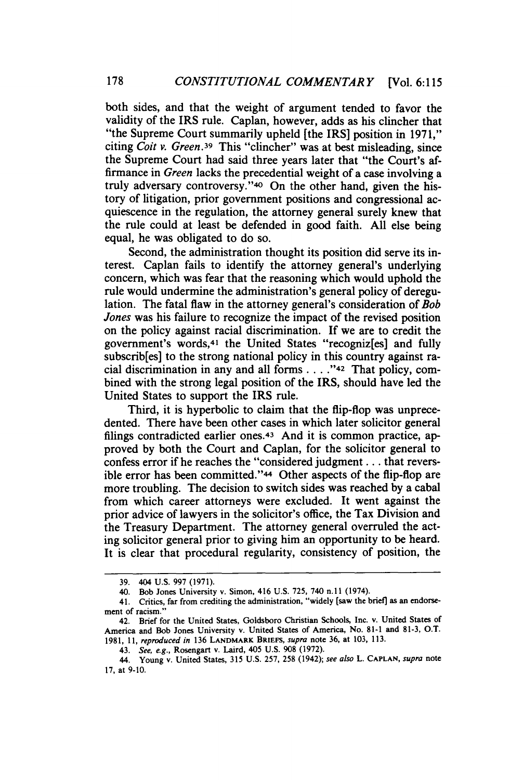both sides, and that the weight of argument tended to favor the validity of the IRS rule. Caplan, however, adds as his clincher that "the Supreme Court summarily upheld [the IRS] position in 1971," citing *Coit v. Green.39* This "clincher" was at best misleading, since the Supreme Court had said three years later that "the Court's affirmance in *Green* lacks the precedential weight of a case involving a truly adversary controversy."40 On the other hand, given the history of litigation, prior government positions and congressional acquiescence in the regulation, the attorney general surely knew that the rule could at least be defended in good faith. All else being equal, he was obligated to do so.

Second, the administration thought its position did serve its interest. Caplan fails to identify the attorney general's underlying concern, which was fear that the reasoning which would uphold the rule would undermine the administration's general policy of deregulation. The fatal flaw in the attorney general's consideration of *Bob Jones* was his failure to recognize the impact of the revised position on the policy against racial discrimination. If we are to credit the government's words,41 the United States "recogniz[es] and fully subscrib[es] to the strong national policy in this country against racial discrimination in any and all forms .... "42 That policy, combined with the strong legal position of the IRS, should have led the United States to support the IRS rule.

Third, it is hyperbolic to claim that the flip-flop was unprecedented. There have been other cases in which later solicitor general filings contradicted earlier ones.43 And it is common practice, approved by both the Court and Caplan, for the solicitor general to confess error if he reaches the "considered judgment ... that reversible error has been committed."44 Other aspects of the flip-flop are more troubling. The decision to switch sides was reached by a cabal from which career attorneys were excluded. It went against the prior advice of lawyers in the solicitor's office, the Tax Division and the Treasury Department. The attorney general overruled the acting solicitor general prior to giving him an opportunity to be heard. It is clear that procedural regularity, consistency of position, the

<sup>39. 404</sup> u.s. 997 (1971).

<sup>40.</sup> Bob Jones University v. Simon, 416 U.S. 725, 740 n.ll (1974).

<sup>41.</sup> Critics, far from crediting the administration, "widely [saw the brief] as an endorsement of racism."

<sup>42.</sup> Brief for the United States, Goldsboro Christian Schools, Inc. v. United States of America and Bob Jones University v. United States of America, No. 81-1 and 81-3, O.T. 1981, II, *reproduced in* 136 LANDMARK BRIEFS, *supra* note 36, at 103, 113.

<sup>43.</sup> *See, e.g.,* Rosengart v. Laird, 405 U.S. 908 (1972).

<sup>44.</sup> Young v. United States, 315 U.S. 257, 258 (1942); *see also* L. CAPLAN, *supra* note 17, at 9-10.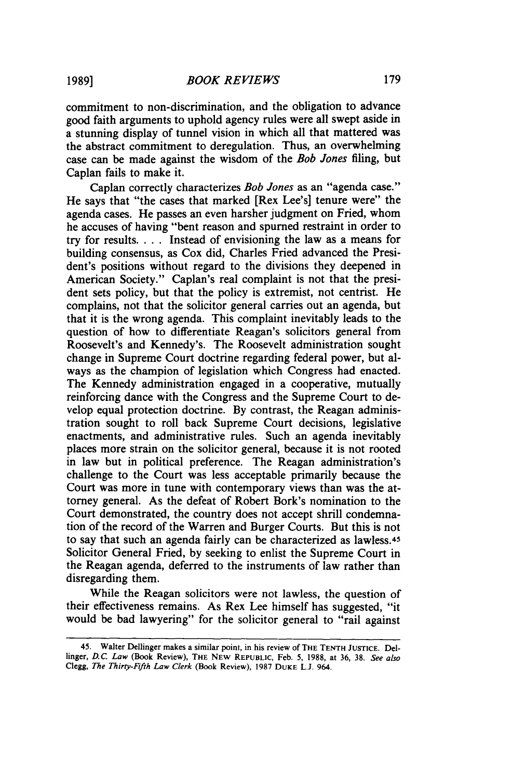commitment to non-discrimination, and the obligation to advance good faith arguments to uphold agency rules were all swept aside in a stunning display of tunnel vision in which all that mattered was the abstract commitment to deregulation. Thus, an overwhelming case can be made against the wisdom of the *Bob Jones* filing, but Caplan fails to make it.

Caplan correctly characterizes *Bob Jones* as an "agenda case." He says that "the cases that marked [Rex Lee's] tenure were" the agenda cases. He passes an even harsher judgment on Fried, whom he accuses of having "bent reason and spurned restraint in order to try for results. . . . Instead of envisioning the law as a means for building consensus, as Cox did, Charles Fried advanced the President's positions without regard to the divisions they deepened in American Society." Caplan's real complaint is not that the president sets policy, but that the policy is extremist, not centrist. He complains, not that the solicitor general carries out an agenda, but that it is the wrong agenda. This complaint inevitably leads to the question of how to differentiate Reagan's solicitors general from Roosevelt's and Kennedy's. The Roosevelt administration sought change in Supreme Court doctrine regarding federal power, but always as the champion of legislation which Congress had enacted. The Kennedy administration engaged in a cooperative, mutually reinforcing dance with the Congress and the Supreme Court to develop equal protection doctrine. By contrast, the Reagan administration sought to roll back Supreme Court decisions, legislative enactments, and administrative rules. Such an agenda inevitably places more strain on the solicitor general, because it is not rooted in law but in political preference. The Reagan administration's challenge to the Court was less acceptable primarily because the Court was more in tune with contemporary views than was the attorney general. As the defeat of Robert Bork's nomination to the Court demonstrated, the country does not accept shrill condemnation of the record of the Warren and Burger Courts. But this is not to say that such an agenda fairly can be characterized as lawless.4s Solicitor General Fried, by seeking to enlist the Supreme Court in the Reagan agenda, deferred to the instruments of law rather than disregarding them.

While the Reagan solicitors were not lawless, the question of their effectiveness remains. As Rex Lee himself has suggested, "it would be bad lawyering" for the solicitor general to "rail against

<sup>45.</sup> Walter Dellinger makes a similar point, in his review of THE TENTH JUSTICE. Dellinger, *D.C. Law* (Book Review), THE NEW REPUBLIC, Feb. *5,* 1988, at 36, 38. *See also*  Clegg, *The Thirty·Fifth Law Clerk* (Book Review), 1987 DuKE L.J. 964.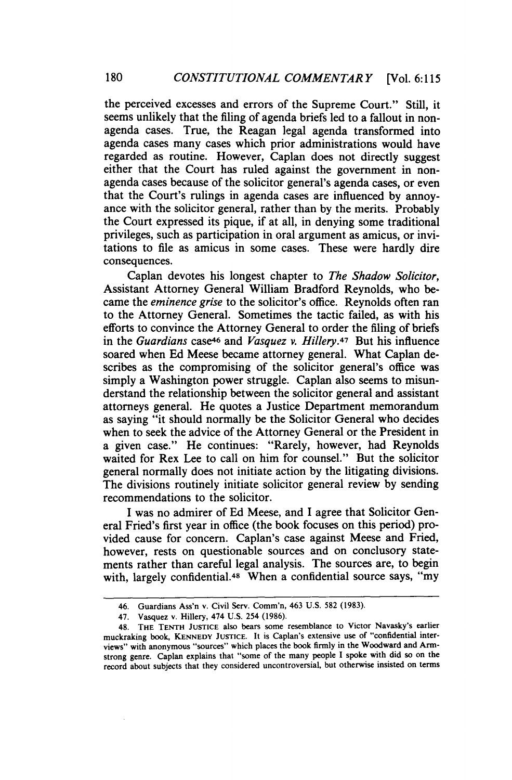the perceived excesses and errors of the Supreme Court." Still, it seems unlikely that the filing of agenda briefs led to a fallout in nonagenda cases. True, the Reagan legal agenda transformed into agenda cases many cases which prior administrations would have regarded as routine. However, Caplan does not directly suggest either that the Court has ruled against the government in nonagenda cases because of the solicitor general's agenda cases, or even that the Court's rulings in agenda cases are influenced by annoyance with the solicitor general, rather than by the merits. Probably the Court expressed its pique, if at all, in denying some traditional privileges, such as participation in oral argument as amicus, or invitations to file as amicus in some cases. These were hardly dire consequences.

Caplan devotes his longest chapter to *The Shadow Solicitor,*  Assistant Attorney General William Bradford Reynolds, who became the *eminence grise* to the solicitor's office. Reynolds often ran to the Attorney General. Sometimes the tactic failed, as with his efforts to convince the Attorney General to order the filing of briefs in the *Guardians* case46 and *Vasquez v. Hillery.47* But his influence soared when Ed Meese became attorney general. What Caplan describes as the compromising of the solicitor general's office was simply a Washington power struggle. Caplan also seems to misunderstand the relationship between the solicitor general and assistant attorneys general. He quotes a Justice Department memorandum as saying "it should normally be the Solicitor General who decides when to seek the advice of the Attorney General or the President in a given case." He continues: "Rarely, however, had Reynolds waited for Rex Lee to call on him for counsel." But the solicitor general normally does not initiate action by the litigating divisions. The divisions routinely initiate solicitor general review by sending recommendations to the solicitor.

I was no admirer of Ed Meese, and I agree that Solicitor General Fried's first year in office (the book focuses on this period) provided cause for concern. Caplan's case against Meese and Fried, however, rests on questionable sources and on conclusory statements rather than careful legal analysis. The sources are, to begin with, largely confidential.<sup>48</sup> When a confidential source says, "my

<sup>46.</sup> Guardians Ass'n v. Civil Serv. Comm'n, 463 U.S. 582 (1983).

<sup>47.</sup> Vasquez v. Hillery, 474 U.S. 254 (1986).

<sup>48.</sup> THE TENTH JuSTICE also bears some resemblance to Victor Navasky's earlier muckraking book, KENNEDY JUSTICE. It is Caplan's extensive use of "confidential interviews" with anonymous "sources" which places the book firmly in the Woodward and Armstrong genre. Caplan explains that "some of the many people I spoke with did so on the record about subjects that they considered uncontroversial, but otherwise insisted on terms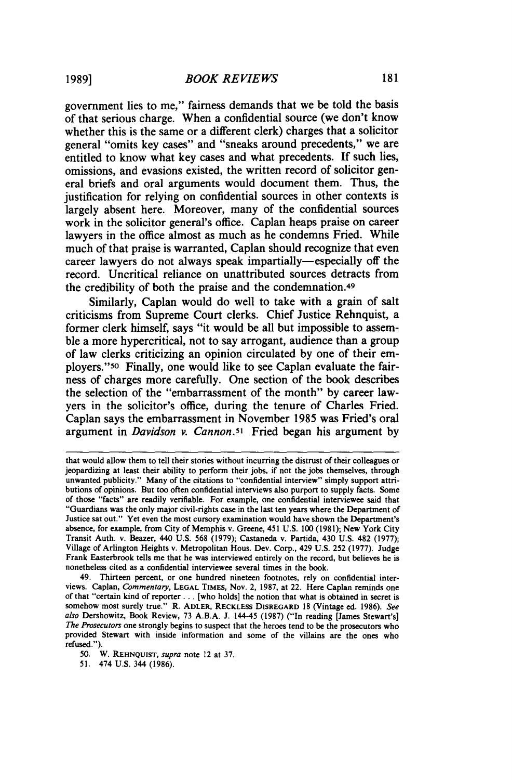government lies to me," fairness demands that we be told the basis of that serious charge. When a confidential source (we don't know whether this is the same or a different clerk) charges that a solicitor general "omits key cases" and "sneaks around precedents," we are entitled to know what key cases and what precedents. If such lies, omissions, and evasions existed, the written record of solicitor general briefs and oral arguments would document them. Thus, the justification for relying on confidential sources in other contexts is largely absent here. Moreover, many of the confidential sources work in the solicitor general's office. Caplan heaps praise on career lawyers in the office almost as much as he condemns Fried. While much of that praise is warranted, Caplan should recognize that even career lawyers do not always speak impartially-especially off the record. Uncritical reliance on unattributed sources detracts from the credibility of both the praise and the condemnation.49

Similarly, Caplan would do well to take with a grain of salt criticisms from Supreme Court clerks. Chief Justice Rehnquist, a former clerk himself, says "it would be all but impossible to assemble a more hypercritical, not to say arrogant, audience than a group of law clerks criticizing an opinion circulated by one of their employers."so Finally, one would like to see Caplan evaluate the fairness of charges more carefully. One section of the book describes the selection of the "embarrassment of the month" by career lawyers in the solicitor's office, during the tenure of Charles Fried. Caplan says the embarrassment in November 1985 was Fried's oral argument in *Davidson v. Cannon.s1* Fried began his argument by

that would allow them to tell their stories without incurring the distrust of their colleagues or jeopardizing at least their ability to perform their jobs, if not the jobs themselves, through unwanted publicity." Many of the citations to "confidential interview" simply support attri· butions of opinions. But too often confidential interviews also purport to supply facts. Some of those "facts" are readily verifiable. For example, one confidential interviewee said that "Guardians was the only major civil-rights case in the last ten years where the Department of Justice sat out." Yet even the most cursory examination would have shown the Department's absence, for example, from City of Memphis v. Greene, 451 U.S. 100 (1981); New York City Transit Auth. v. Beazer, 440 U.S. 568 (1979); Castaneda v. Partida, 430 U.S. 482 (1977); Village of Arlington Heights v. Metropolitan Hous. Dev. Corp., 429 U.S. 252 (1977). Judge Frank Easterbrook tells me that he was interviewed entirely on the record, but believes he is nonetheless cited as a confidential interviewee several times in the book.

<sup>49.</sup> Thirteen percent, or one hundred nineteen footnotes, rely on confidential interviews. Caplan, *Commentary,* LEGAL TIMES, Nov. 2, 1987, at 22. Here Caplan reminds one of that "certain kind of reporter ... [who holds] the notion that what is obtained in secret is somehow most surely true." R. ADLER, RECKLESS DISREGARD 18 (Vintage ed. 1986). *See also* Dershowitz, Book Review, 73 A.B.A. J. 144-45 (1987) ("In reading [James Stewart's] *The Prosecutors* one strongly begins to suspect that the heroes tend to be the prosecutors who provided Stewart with inside information and some of the villains are the ones who refused.").

*<sup>50.</sup>* W. REHNQUIST, *supra* note 12 at 37. 51. 474 u.s. 344 (1986).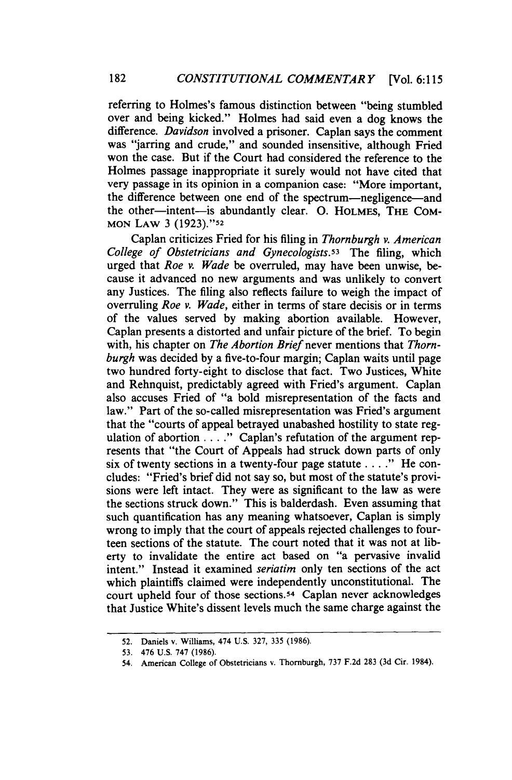referring to Holmes's famous distinction between "being stumbled over and being kicked." Holmes had said even a dog knows the difference. *Davidson* involved a prisoner. Caplan says the comment was "jarring and crude," and sounded insensitive, although Fried won the case. But if the Court had considered the reference to the Holmes passage inappropriate it surely would not have cited that very passage in its opinion in a companion case: "More important, the difference between one end of the spectrum-negligence-and the other-intent-is abundantly clear. 0. HOLMES, THE CoM-MON LAW 3 (1923)."52

Caplan criticizes Fried for his filing in *Thornburgh v. American College of Obstetricians and Gynecologists.s3* The filing, which urged that *Roe v. Wade* be overruled, may have been unwise, because it advanced no new arguments and was unlikely to convert any Justices. The filing also reflects failure to weigh the impact of overruling *Roe v. Wade,* either in terms of stare decisis or in terms of the values served by making abortion available. However, Caplan presents a distorted and unfair picture of the brief. To begin with, his chapter on *The Abortion Brief* never mentions that *Thornburgh* was decided by a five-to-four margin; Caplan waits until page two hundred forty-eight to disclose that fact. Two Justices, White and Rehnquist, predictably agreed with Fried's argument. Caplan also accuses Fried of "a bold misrepresentation of the facts and law." Part of the so-called misrepresentation was Fried's argument that the "courts of appeal betrayed unabashed hostility to state regulation of abortion .... " Caplan's refutation of the argument represents that "the Court of Appeals had struck down parts of only six of twenty sections in a twenty-four page statute  $\dots$ ." He concludes: "Fried's brief did not say so, but most of the statute's provisions were left intact. They were as significant to the law as were the sections struck down." This is balderdash. Even assuming that such quantification has any meaning whatsoever, Caplan is simply wrong to imply that the court of appeals rejected challenges to fourteen sections of the statute. The court noted that it was not at liberty to invalidate the entire act based on "a pervasive invalid intent." Instead it examined *seriatim* only ten sections of the act which plaintiffs claimed were independently unconstitutional. The court upheld four of those sections.54 Caplan never acknowledges that Justice White's dissent levels much the same charge against the

<sup>52.</sup> Daniels v. Williams, 474 U.S. 327, 335 (1986).

<sup>53. 476</sup> U.S. 747 (1986).

<sup>54.</sup> American College of Obstetricians v. Thornburgh, 737 F.2d 283 (3d Cir. 1984).